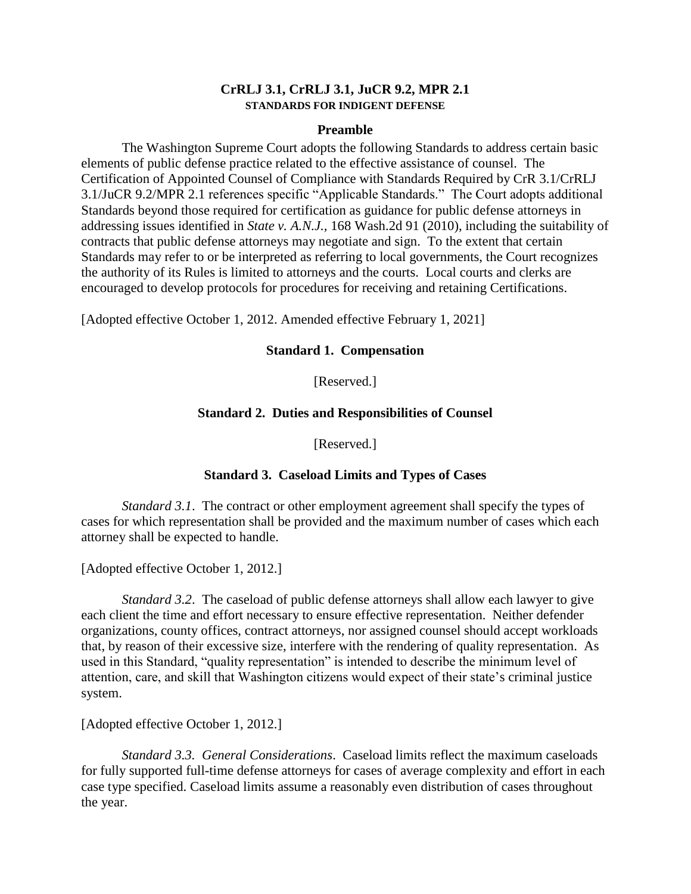#### **CrRLJ 3.1, CrRLJ 3.1, JuCR 9.2, MPR 2.1 STANDARDS FOR INDIGENT DEFENSE**

#### **Preamble**

The Washington Supreme Court adopts the following Standards to address certain basic elements of public defense practice related to the effective assistance of counsel. The Certification of Appointed Counsel of Compliance with Standards Required by CrR 3.1/CrRLJ 3.1/JuCR 9.2/MPR 2.1 references specific "Applicable Standards." The Court adopts additional Standards beyond those required for certification as guidance for public defense attorneys in addressing issues identified in *State v. A.N.J.,* 168 Wash.2d 91 (2010), including the suitability of contracts that public defense attorneys may negotiate and sign. To the extent that certain Standards may refer to or be interpreted as referring to local governments, the Court recognizes the authority of its Rules is limited to attorneys and the courts. Local courts and clerks are encouraged to develop protocols for procedures for receiving and retaining Certifications.

[Adopted effective October 1, 2012. Amended effective February 1, 2021]

#### **Standard 1. Compensation**

[Reserved.]

#### **Standard 2. Duties and Responsibilities of Counsel**

[Reserved.]

## **Standard 3. Caseload Limits and Types of Cases**

*Standard 3.1*. The contract or other employment agreement shall specify the types of cases for which representation shall be provided and the maximum number of cases which each attorney shall be expected to handle.

[Adopted effective October 1, 2012.]

*Standard 3.2*. The caseload of public defense attorneys shall allow each lawyer to give each client the time and effort necessary to ensure effective representation. Neither defender organizations, county offices, contract attorneys, nor assigned counsel should accept workloads that, by reason of their excessive size, interfere with the rendering of quality representation. As used in this Standard, "quality representation" is intended to describe the minimum level of attention, care, and skill that Washington citizens would expect of their state's criminal justice system.

#### [Adopted effective October 1, 2012.]

*Standard 3.3. General Considerations*. Caseload limits reflect the maximum caseloads for fully supported full-time defense attorneys for cases of average complexity and effort in each case type specified. Caseload limits assume a reasonably even distribution of cases throughout the year.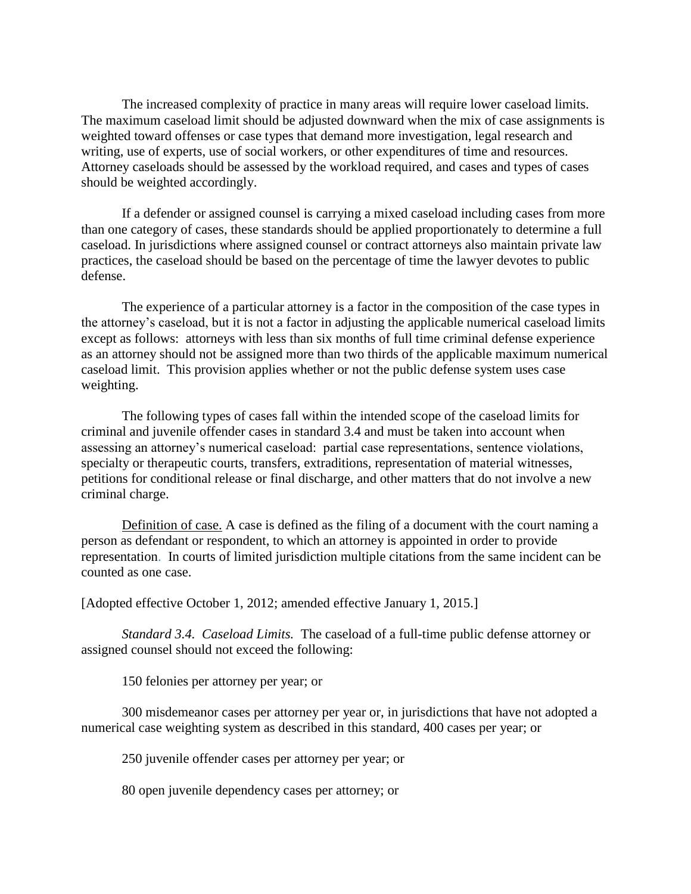The increased complexity of practice in many areas will require lower caseload limits. The maximum caseload limit should be adjusted downward when the mix of case assignments is weighted toward offenses or case types that demand more investigation, legal research and writing, use of experts, use of social workers, or other expenditures of time and resources. Attorney caseloads should be assessed by the workload required, and cases and types of cases should be weighted accordingly.

If a defender or assigned counsel is carrying a mixed caseload including cases from more than one category of cases, these standards should be applied proportionately to determine a full caseload. In jurisdictions where assigned counsel or contract attorneys also maintain private law practices, the caseload should be based on the percentage of time the lawyer devotes to public defense.

The experience of a particular attorney is a factor in the composition of the case types in the attorney's caseload, but it is not a factor in adjusting the applicable numerical caseload limits except as follows: attorneys with less than six months of full time criminal defense experience as an attorney should not be assigned more than two thirds of the applicable maximum numerical caseload limit. This provision applies whether or not the public defense system uses case weighting.

The following types of cases fall within the intended scope of the caseload limits for criminal and juvenile offender cases in standard 3.4 and must be taken into account when assessing an attorney's numerical caseload: partial case representations, sentence violations, specialty or therapeutic courts, transfers, extraditions, representation of material witnesses, petitions for conditional release or final discharge, and other matters that do not involve a new criminal charge.

Definition of case. A case is defined as the filing of a document with the court naming a person as defendant or respondent, to which an attorney is appointed in order to provide representation. In courts of limited jurisdiction multiple citations from the same incident can be counted as one case.

[Adopted effective October 1, 2012; amended effective January 1, 2015.]

*Standard 3.4. Caseload Limits.*The caseload of a full-time public defense attorney or assigned counsel should not exceed the following:

150 felonies per attorney per year; or

300 misdemeanor cases per attorney per year or, in jurisdictions that have not adopted a numerical case weighting system as described in this standard, 400 cases per year; or

250 juvenile offender cases per attorney per year; or

80 open juvenile dependency cases per attorney; or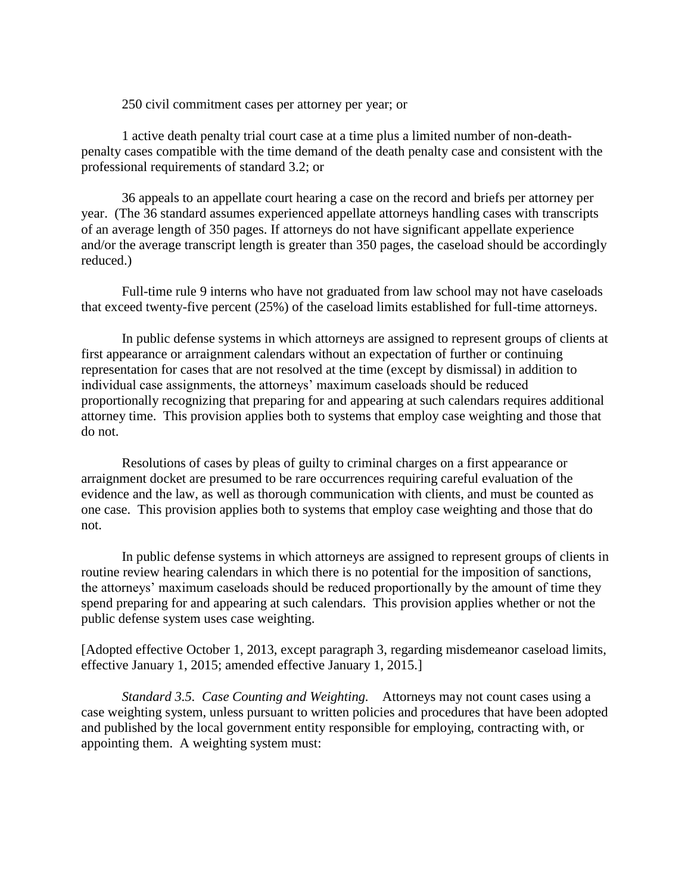250 civil commitment cases per attorney per year; or

1 active death penalty trial court case at a time plus a limited number of non-deathpenalty cases compatible with the time demand of the death penalty case and consistent with the professional requirements of standard 3.2; or

36 appeals to an appellate court hearing a case on the record and briefs per attorney per year. (The 36 standard assumes experienced appellate attorneys handling cases with transcripts of an average length of 350 pages. If attorneys do not have significant appellate experience and/or the average transcript length is greater than 350 pages, the caseload should be accordingly reduced.)

Full-time rule 9 interns who have not graduated from law school may not have caseloads that exceed twenty-five percent (25%) of the caseload limits established for full-time attorneys.

In public defense systems in which attorneys are assigned to represent groups of clients at first appearance or arraignment calendars without an expectation of further or continuing representation for cases that are not resolved at the time (except by dismissal) in addition to individual case assignments, the attorneys' maximum caseloads should be reduced proportionally recognizing that preparing for and appearing at such calendars requires additional attorney time. This provision applies both to systems that employ case weighting and those that do not.

Resolutions of cases by pleas of guilty to criminal charges on a first appearance or arraignment docket are presumed to be rare occurrences requiring careful evaluation of the evidence and the law, as well as thorough communication with clients, and must be counted as one case. This provision applies both to systems that employ case weighting and those that do not.

In public defense systems in which attorneys are assigned to represent groups of clients in routine review hearing calendars in which there is no potential for the imposition of sanctions, the attorneys' maximum caseloads should be reduced proportionally by the amount of time they spend preparing for and appearing at such calendars. This provision applies whether or not the public defense system uses case weighting.

[Adopted effective October 1, 2013, except paragraph 3, regarding misdemeanor caseload limits, effective January 1, 2015; amended effective January 1, 2015.]

*Standard 3.5. Case Counting and Weighting.*Attorneys may not count cases using a case weighting system, unless pursuant to written policies and procedures that have been adopted and published by the local government entity responsible for employing, contracting with, or appointing them. A weighting system must: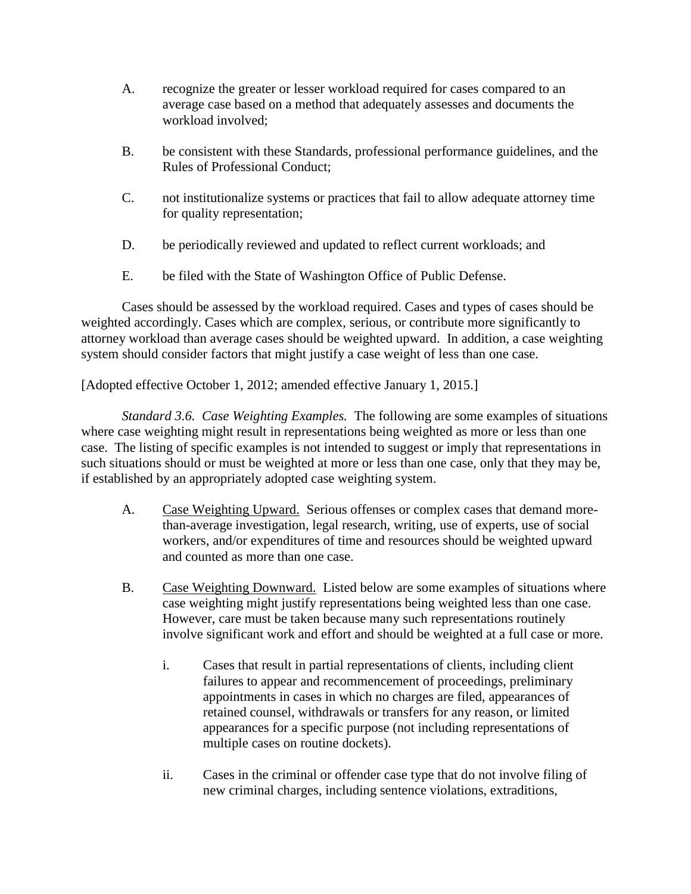- A. recognize the greater or lesser workload required for cases compared to an average case based on a method that adequately assesses and documents the workload involved;
- B. be consistent with these Standards, professional performance guidelines, and the Rules of Professional Conduct;
- C. not institutionalize systems or practices that fail to allow adequate attorney time for quality representation;
- D. be periodically reviewed and updated to reflect current workloads; and
- E. be filed with the State of Washington Office of Public Defense.

Cases should be assessed by the workload required. Cases and types of cases should be weighted accordingly. Cases which are complex, serious, or contribute more significantly to attorney workload than average cases should be weighted upward. In addition, a case weighting system should consider factors that might justify a case weight of less than one case.

[Adopted effective October 1, 2012; amended effective January 1, 2015.]

*Standard 3.6. Case Weighting Examples.* The following are some examples of situations where case weighting might result in representations being weighted as more or less than one case. The listing of specific examples is not intended to suggest or imply that representations in such situations should or must be weighted at more or less than one case, only that they may be, if established by an appropriately adopted case weighting system.

- A. Case Weighting Upward. Serious offenses or complex cases that demand morethan-average investigation, legal research, writing, use of experts, use of social workers, and/or expenditures of time and resources should be weighted upward and counted as more than one case.
- B. Case Weighting Downward. Listed below are some examples of situations where case weighting might justify representations being weighted less than one case. However, care must be taken because many such representations routinely involve significant work and effort and should be weighted at a full case or more.
	- i. Cases that result in partial representations of clients, including client failures to appear and recommencement of proceedings, preliminary appointments in cases in which no charges are filed, appearances of retained counsel, withdrawals or transfers for any reason, or limited appearances for a specific purpose (not including representations of multiple cases on routine dockets).
	- ii. Cases in the criminal or offender case type that do not involve filing of new criminal charges, including sentence violations, extraditions,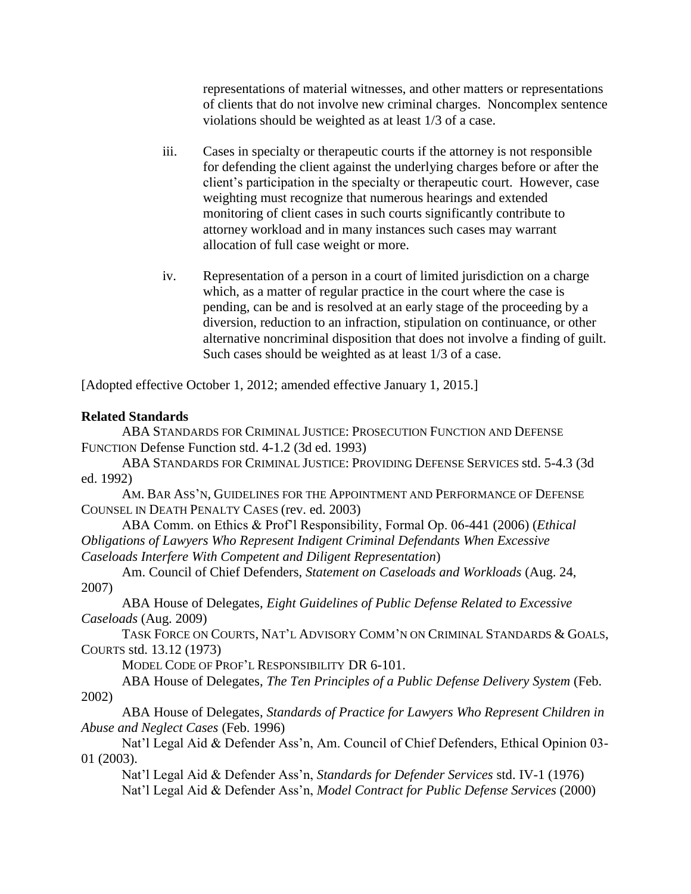representations of material witnesses, and other matters or representations of clients that do not involve new criminal charges. Noncomplex sentence violations should be weighted as at least 1/3 of a case.

- iii. Cases in specialty or therapeutic courts if the attorney is not responsible for defending the client against the underlying charges before or after the client's participation in the specialty or therapeutic court. However, case weighting must recognize that numerous hearings and extended monitoring of client cases in such courts significantly contribute to attorney workload and in many instances such cases may warrant allocation of full case weight or more.
- iv. Representation of a person in a court of limited jurisdiction on a charge which, as a matter of regular practice in the court where the case is pending, can be and is resolved at an early stage of the proceeding by a diversion, reduction to an infraction, stipulation on continuance, or other alternative noncriminal disposition that does not involve a finding of guilt. Such cases should be weighted as at least 1/3 of a case.

[Adopted effective October 1, 2012; amended effective January 1, 2015.]

## **Related Standards**

ABA STANDARDS FOR CRIMINAL JUSTICE: PROSECUTION FUNCTION AND DEFENSE FUNCTION Defense Function std. 4-1.2 (3d ed. 1993)

ABA STANDARDS FOR CRIMINAL JUSTICE: PROVIDING DEFENSE SERVICES std. 5-4.3 (3d ed. 1992)

AM. BAR ASS'N, GUIDELINES FOR THE APPOINTMENT AND PERFORMANCE OF DEFENSE COUNSEL IN DEATH PENALTY CASES (rev. ed. 2003)

ABA Comm. on Ethics & Prof'l Responsibility, Formal Op. 06-441 (2006) (*Ethical Obligations of Lawyers Who Represent Indigent Criminal Defendants When Excessive Caseloads Interfere With Competent and Diligent Representation*)

Am. Council of Chief Defenders, *Statement on Caseloads and Workloads* (Aug. 24, 2007)

ABA House of Delegates, *Eight Guidelines of Public Defense Related to Excessive Caseloads* (Aug. 2009)

TASK FORCE ON COURTS, NAT'L ADVISORY COMM'N ON CRIMINAL STANDARDS & GOALS, COURTS std. 13.12 (1973)

MODEL CODE OF PROF'L RESPONSIBILITY DR 6-101.

ABA House of Delegates, *The Ten Principles of a Public Defense Delivery System* (Feb. 2002)

ABA House of Delegates, *Standards of Practice for Lawyers Who Represent Children in Abuse and Neglect Cases* (Feb. 1996)

Nat'l Legal Aid & Defender Ass'n, Am. Council of Chief Defenders, Ethical Opinion 03- 01 (2003).

Nat'l Legal Aid & Defender Ass'n, *Standards for Defender Services* std. IV-1 (1976) Nat'l Legal Aid & Defender Ass'n, *Model Contract for Public Defense Services* (2000)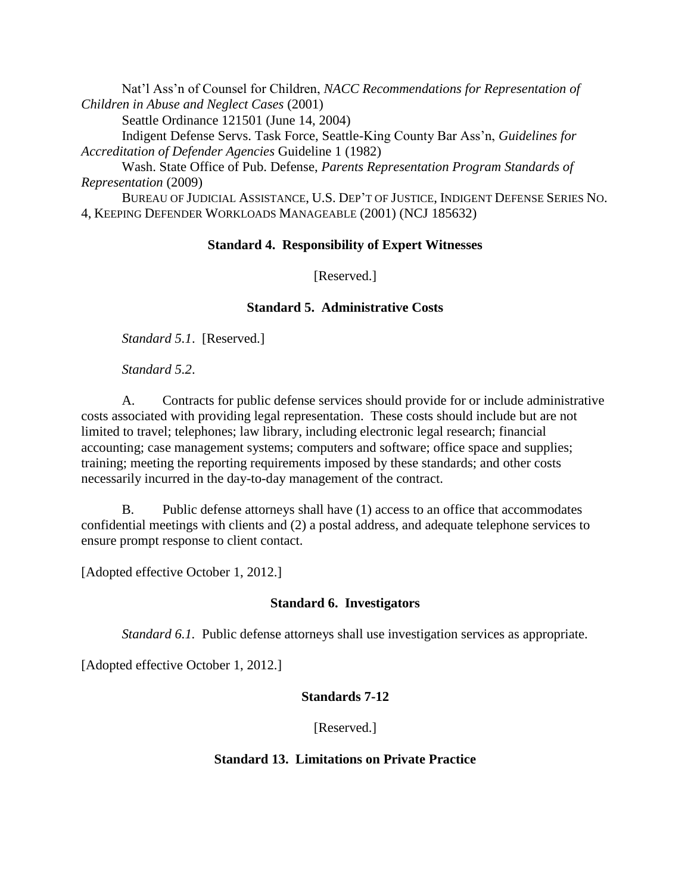Nat'l Ass'n of Counsel for Children, *NACC Recommendations for Representation of Children in Abuse and Neglect Cases* (2001)

Seattle Ordinance 121501 (June 14, 2004)

Indigent Defense Servs. Task Force, Seattle-King County Bar Ass'n, *Guidelines for Accreditation of Defender Agencies* Guideline 1 (1982)

Wash. State Office of Pub. Defense, *Parents Representation Program Standards of Representation* (2009)

BUREAU OF JUDICIAL ASSISTANCE, U.S. DEP'T OF JUSTICE, INDIGENT DEFENSE SERIES NO. 4, KEEPING DEFENDER WORKLOADS MANAGEABLE (2001) (NCJ 185632)

## **Standard 4. Responsibility of Expert Witnesses**

[Reserved.]

# **Standard 5. Administrative Costs**

*Standard 5.1*. [Reserved.]

*Standard 5.2*.

A. Contracts for public defense services should provide for or include administrative costs associated with providing legal representation. These costs should include but are not limited to travel; telephones; law library, including electronic legal research; financial accounting; case management systems; computers and software; office space and supplies; training; meeting the reporting requirements imposed by these standards; and other costs necessarily incurred in the day-to-day management of the contract.

B. Public defense attorneys shall have (1) access to an office that accommodates confidential meetings with clients and (2) a postal address, and adequate telephone services to ensure prompt response to client contact.

[Adopted effective October 1, 2012.]

## **Standard 6. Investigators**

*Standard 6.1.* Public defense attorneys shall use investigation services as appropriate.

[Adopted effective October 1, 2012.]

## **Standards 7-12**

[Reserved.]

## **Standard 13. Limitations on Private Practice**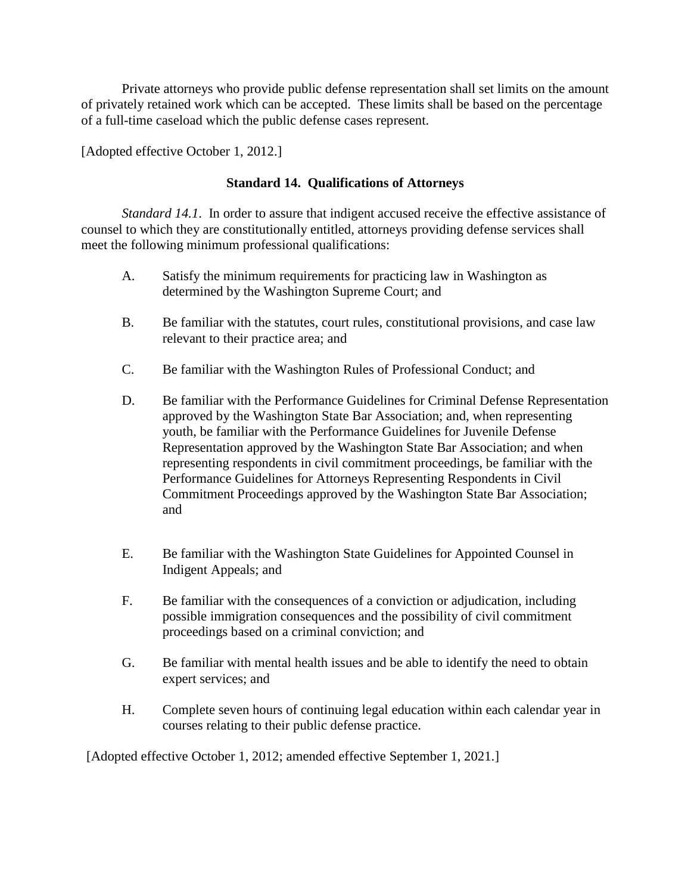Private attorneys who provide public defense representation shall set limits on the amount of privately retained work which can be accepted. These limits shall be based on the percentage of a full-time caseload which the public defense cases represent.

[Adopted effective October 1, 2012.]

# **Standard 14. Qualifications of Attorneys**

*Standard 14.1.* In order to assure that indigent accused receive the effective assistance of counsel to which they are constitutionally entitled, attorneys providing defense services shall meet the following minimum professional qualifications:

- A. Satisfy the minimum requirements for practicing law in Washington as determined by the Washington Supreme Court; and
- B. Be familiar with the statutes, court rules, constitutional provisions, and case law relevant to their practice area; and
- C. Be familiar with the Washington Rules of Professional Conduct; and
- D. Be familiar with the Performance Guidelines for Criminal Defense Representation approved by the Washington State Bar Association; and, when representing youth, be familiar with the Performance Guidelines for Juvenile Defense Representation approved by the Washington State Bar Association; and when representing respondents in civil commitment proceedings, be familiar with the Performance Guidelines for Attorneys Representing Respondents in Civil Commitment Proceedings approved by the Washington State Bar Association; and
- E. Be familiar with the Washington State Guidelines for Appointed Counsel in Indigent Appeals; and
- F. Be familiar with the consequences of a conviction or adjudication, including possible immigration consequences and the possibility of civil commitment proceedings based on a criminal conviction; and
- G. Be familiar with mental health issues and be able to identify the need to obtain expert services; and
- H. Complete seven hours of continuing legal education within each calendar year in courses relating to their public defense practice.

[Adopted effective October 1, 2012; amended effective September 1, 2021.]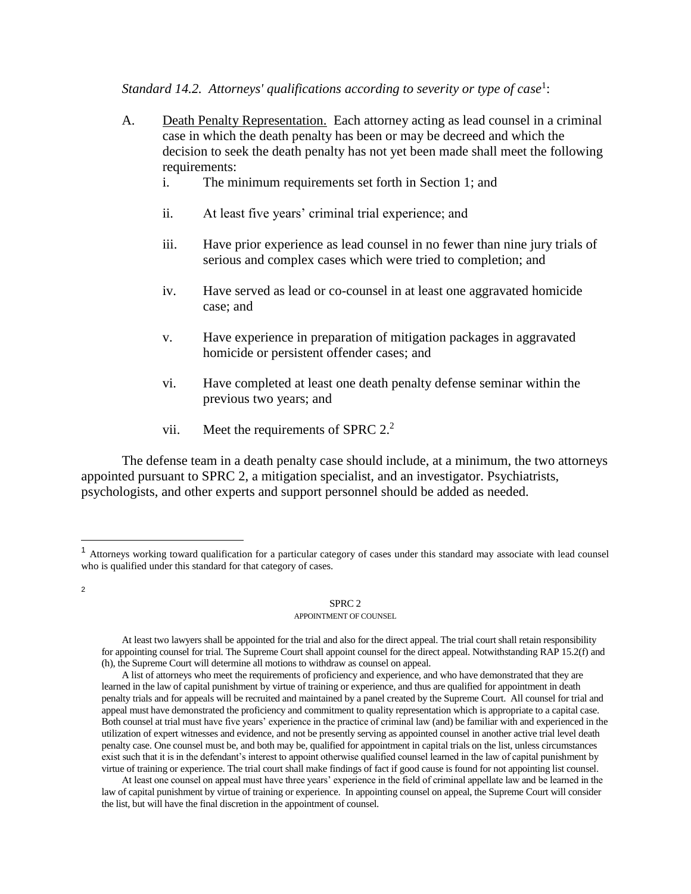Standard 14.2. Attorneys' qualifications according to severity or type of case<sup>1</sup>:

- A. Death Penalty Representation. Each attorney acting as lead counsel in a criminal case in which the death penalty has been or may be decreed and which the decision to seek the death penalty has not yet been made shall meet the following requirements:
	- i. The minimum requirements set forth in Section 1; and
	- ii. At least five years' criminal trial experience; and
	- iii. Have prior experience as lead counsel in no fewer than nine jury trials of serious and complex cases which were tried to completion; and
	- iv. Have served as lead or co-counsel in at least one aggravated homicide case; and
	- v. Have experience in preparation of mitigation packages in aggravated homicide or persistent offender cases; and
	- vi. Have completed at least one death penalty defense seminar within the previous two years; and
	- vii. Meet the requirements of SPRC  $2<sup>2</sup>$ .

The defense team in a death penalty case should include, at a minimum, the two attorneys appointed pursuant to SPRC 2, a mitigation specialist, and an investigator. Psychiatrists, psychologists, and other experts and support personnel should be added as needed.

2

 $\overline{\phantom{a}}$ 

#### SPRC 2

#### APPOINTMENT OF COUNSEL

<sup>&</sup>lt;sup>1</sup> Attorneys working toward qualification for a particular category of cases under this standard may associate with lead counsel who is qualified under this standard for that category of cases.

At least two lawyers shall be appointed for the trial and also for the direct appeal. The trial court shall retain responsibility for appointing counsel for trial. The Supreme Court shall appoint counsel for the direct appeal. Notwithstanding RAP 15.2(f) and (h), the Supreme Court will determine all motions to withdraw as counsel on appeal.

A list of attorneys who meet the requirements of proficiency and experience, and who have demonstrated that they are learned in the law of capital punishment by virtue of training or experience, and thus are qualified for appointment in death penalty trials and for appeals will be recruited and maintained by a panel created by the Supreme Court. All counsel for trial and appeal must have demonstrated the proficiency and commitment to quality representation which is appropriate to a capital case. Both counsel at trial must have five years' experience in the practice of criminal law (and) be familiar with and experienced in the utilization of expert witnesses and evidence, and not be presently serving as appointed counsel in another active trial level death penalty case. One counsel must be, and both may be, qualified for appointment in capital trials on the list, unless circumstances exist such that it is in the defendant's interest to appoint otherwise qualified counsel learned in the law of capital punishment by virtue of training or experience. The trial court shall make findings of fact if good cause is found for not appointing list counsel.

At least one counsel on appeal must have three years' experience in the field of criminal appellate law and be learned in the law of capital punishment by virtue of training or experience. In appointing counsel on appeal, the Supreme Court will consider the list, but will have the final discretion in the appointment of counsel.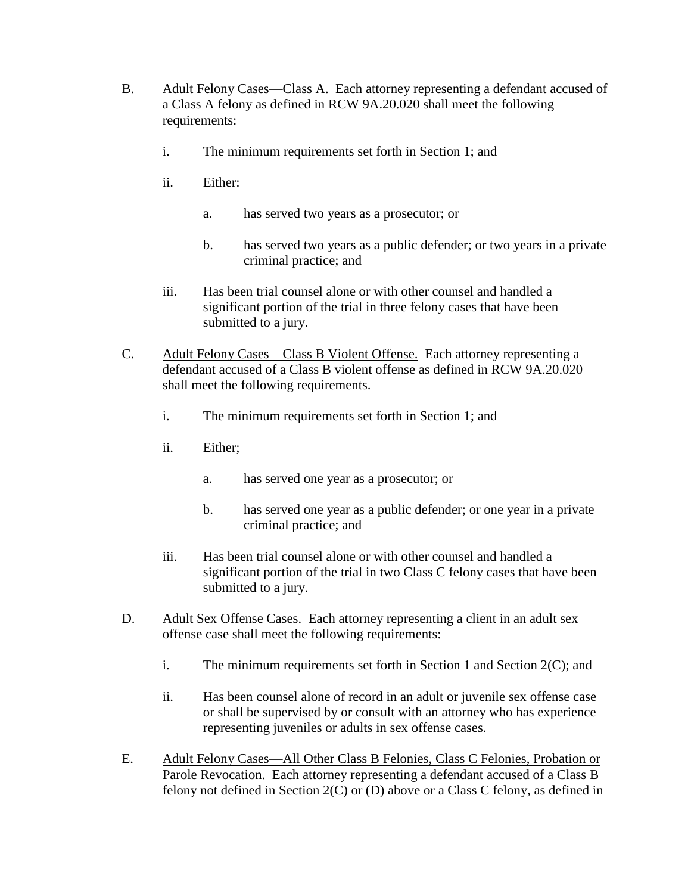- B. Adult Felony Cases—Class A. Each attorney representing a defendant accused of a Class A felony as defined in RCW 9A.20.020 shall meet the following requirements:
	- i. The minimum requirements set forth in Section 1; and
	- ii. Either:
		- a. has served two years as a prosecutor; or
		- b. has served two years as a public defender; or two years in a private criminal practice; and
	- iii. Has been trial counsel alone or with other counsel and handled a significant portion of the trial in three felony cases that have been submitted to a jury.
- C. Adult Felony Cases—Class B Violent Offense. Each attorney representing a defendant accused of a Class B violent offense as defined in RCW 9A.20.020 shall meet the following requirements.
	- i. The minimum requirements set forth in Section 1; and
	- ii. Either;
		- a. has served one year as a prosecutor; or
		- b. has served one year as a public defender; or one year in a private criminal practice; and
	- iii. Has been trial counsel alone or with other counsel and handled a significant portion of the trial in two Class C felony cases that have been submitted to a jury.
- D. Adult Sex Offense Cases. Each attorney representing a client in an adult sex offense case shall meet the following requirements:
	- i. The minimum requirements set forth in Section 1 and Section 2(C); and
	- ii. Has been counsel alone of record in an adult or juvenile sex offense case or shall be supervised by or consult with an attorney who has experience representing juveniles or adults in sex offense cases.
- E. Adult Felony Cases—All Other Class B Felonies, Class C Felonies, Probation or Parole Revocation. Each attorney representing a defendant accused of a Class B felony not defined in Section 2(C) or (D) above or a Class C felony, as defined in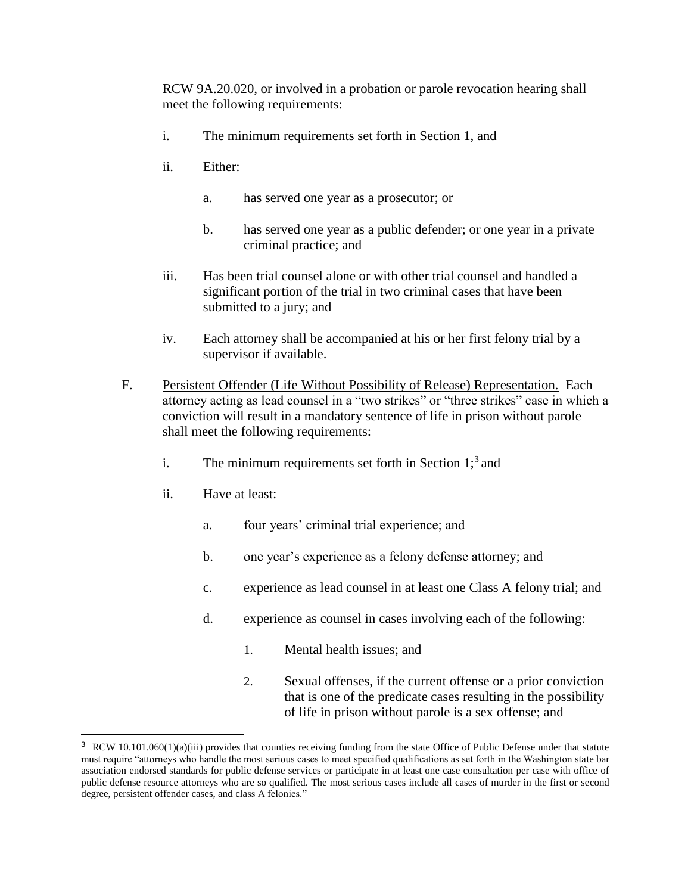RCW 9A.20.020, or involved in a probation or parole revocation hearing shall meet the following requirements:

- i. The minimum requirements set forth in Section 1, and
- ii. Either:
	- a. has served one year as a prosecutor; or
	- b. has served one year as a public defender; or one year in a private criminal practice; and
- iii. Has been trial counsel alone or with other trial counsel and handled a significant portion of the trial in two criminal cases that have been submitted to a jury; and
- iv. Each attorney shall be accompanied at his or her first felony trial by a supervisor if available.
- F. Persistent Offender (Life Without Possibility of Release) Representation. Each attorney acting as lead counsel in a "two strikes" or "three strikes" case in which a conviction will result in a mandatory sentence of life in prison without parole shall meet the following requirements:
	- i. The minimum requirements set forth in Section  $1$ ;<sup>3</sup> and
	- ii. Have at least:

 $\overline{\phantom{a}}$ 

- a. four years' criminal trial experience; and
- b. one year's experience as a felony defense attorney; and
- c. experience as lead counsel in at least one Class A felony trial; and
- d. experience as counsel in cases involving each of the following:
	- 1. Mental health issues; and
	- 2. Sexual offenses, if the current offense or a prior conviction that is one of the predicate cases resulting in the possibility of life in prison without parole is a sex offense; and

<sup>3</sup> RCW 10.101.060(1)(a)(iii) provides that counties receiving funding from the state Office of Public Defense under that statute must require "attorneys who handle the most serious cases to meet specified qualifications as set forth in the Washington state bar association endorsed standards for public defense services or participate in at least one case consultation per case with office of public defense resource attorneys who are so qualified. The most serious cases include all cases of murder in the first or second degree, persistent offender cases, and class A felonies."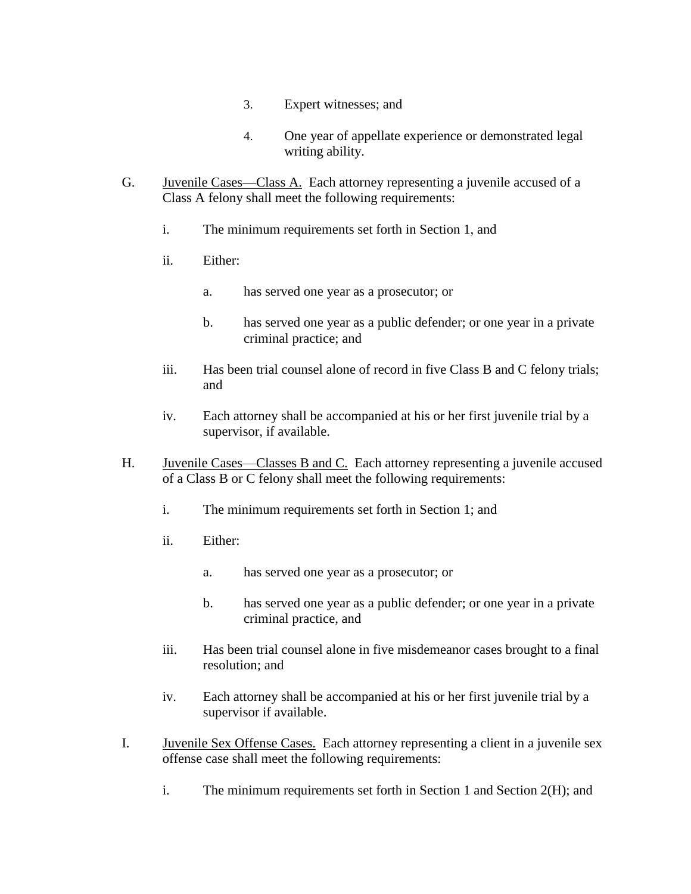- 3. Expert witnesses; and
- 4. One year of appellate experience or demonstrated legal writing ability.
- G. Juvenile Cases—Class A. Each attorney representing a juvenile accused of a Class A felony shall meet the following requirements:
	- i. The minimum requirements set forth in Section 1, and
	- ii. Either:
		- a. has served one year as a prosecutor; or
		- b. has served one year as a public defender; or one year in a private criminal practice; and
	- iii. Has been trial counsel alone of record in five Class B and C felony trials; and
	- iv. Each attorney shall be accompanied at his or her first juvenile trial by a supervisor, if available.
- H. Juvenile Cases—Classes B and C. Each attorney representing a juvenile accused of a Class B or C felony shall meet the following requirements:
	- i. The minimum requirements set forth in Section 1; and
	- ii. Either:
		- a. has served one year as a prosecutor; or
		- b. has served one year as a public defender; or one year in a private criminal practice, and
	- iii. Has been trial counsel alone in five misdemeanor cases brought to a final resolution; and
	- iv. Each attorney shall be accompanied at his or her first juvenile trial by a supervisor if available.
- I. Juvenile Sex Offense Cases. Each attorney representing a client in a juvenile sex offense case shall meet the following requirements:
	- i. The minimum requirements set forth in Section 1 and Section 2(H); and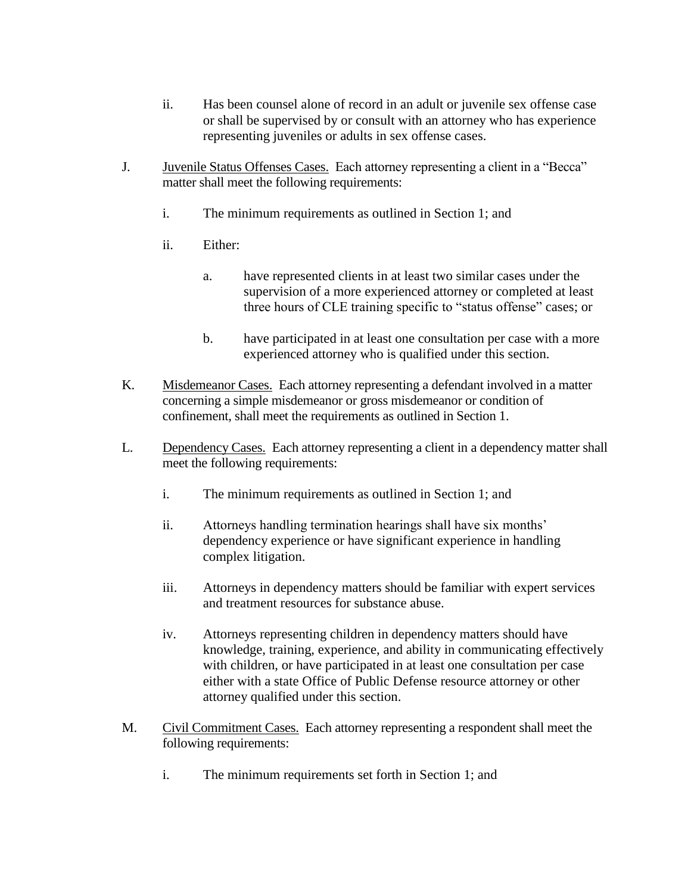- ii. Has been counsel alone of record in an adult or juvenile sex offense case or shall be supervised by or consult with an attorney who has experience representing juveniles or adults in sex offense cases.
- J. Juvenile Status Offenses Cases. Each attorney representing a client in a "Becca" matter shall meet the following requirements:
	- i. The minimum requirements as outlined in Section 1; and
	- ii. Either:
		- a. have represented clients in at least two similar cases under the supervision of a more experienced attorney or completed at least three hours of CLE training specific to "status offense" cases; or
		- b. have participated in at least one consultation per case with a more experienced attorney who is qualified under this section.
- K. Misdemeanor Cases.Each attorney representing a defendant involved in a matter concerning a simple misdemeanor or gross misdemeanor or condition of confinement, shall meet the requirements as outlined in Section 1.
- L. Dependency Cases.Each attorney representing a client in a dependency matter shall meet the following requirements:
	- i. The minimum requirements as outlined in Section 1; and
	- ii. Attorneys handling termination hearings shall have six months' dependency experience or have significant experience in handling complex litigation.
	- iii. Attorneys in dependency matters should be familiar with expert services and treatment resources for substance abuse.
	- iv. Attorneys representing children in dependency matters should have knowledge, training, experience, and ability in communicating effectively with children, or have participated in at least one consultation per case either with a state Office of Public Defense resource attorney or other attorney qualified under this section.
- M. Civil Commitment Cases.Each attorney representing a respondent shall meet the following requirements:
	- i. The minimum requirements set forth in Section 1; and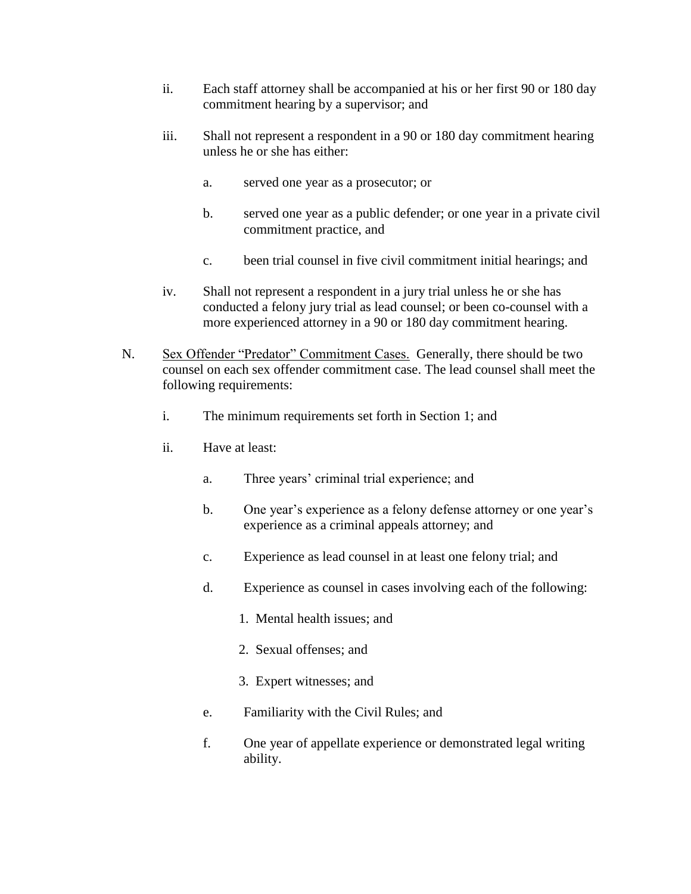- ii. Each staff attorney shall be accompanied at his or her first 90 or 180 day commitment hearing by a supervisor; and
- iii. Shall not represent a respondent in a 90 or 180 day commitment hearing unless he or she has either:
	- a. served one year as a prosecutor; or
	- b. served one year as a public defender; or one year in a private civil commitment practice, and
	- c. been trial counsel in five civil commitment initial hearings; and
- iv. Shall not represent a respondent in a jury trial unless he or she has conducted a felony jury trial as lead counsel; or been co-counsel with a more experienced attorney in a 90 or 180 day commitment hearing.
- N. Sex Offender "Predator" Commitment Cases.Generally, there should be two counsel on each sex offender commitment case. The lead counsel shall meet the following requirements:
	- i. The minimum requirements set forth in Section 1; and
	- ii. Have at least:
		- a. Three years' criminal trial experience; and
		- b. One year's experience as a felony defense attorney or one year's experience as a criminal appeals attorney; and
		- c. Experience as lead counsel in at least one felony trial; and
		- d. Experience as counsel in cases involving each of the following:
			- 1. Mental health issues; and
			- 2. Sexual offenses; and
			- 3. Expert witnesses; and
		- e. Familiarity with the Civil Rules; and
		- f. One year of appellate experience or demonstrated legal writing ability.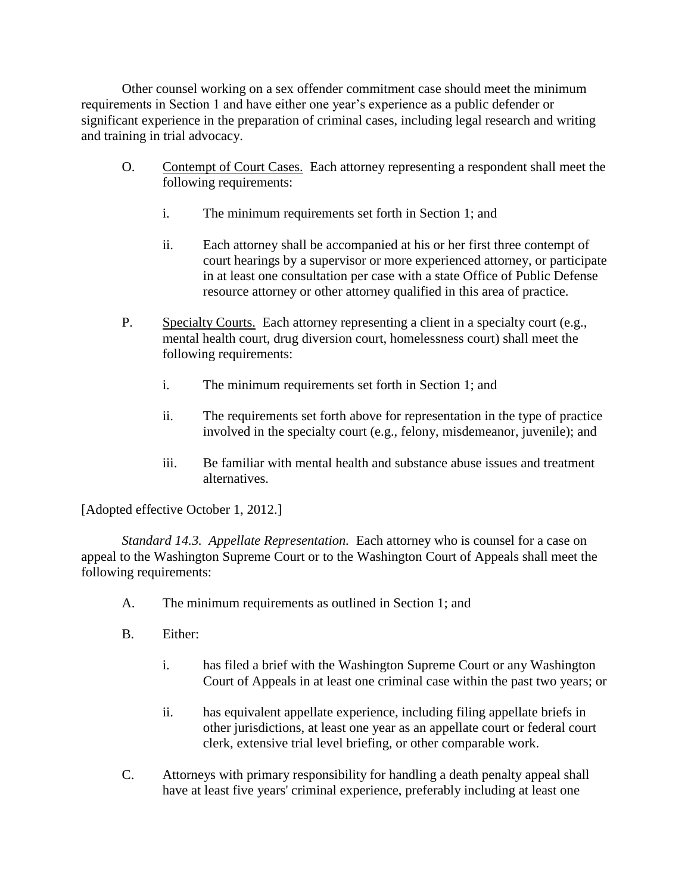Other counsel working on a sex offender commitment case should meet the minimum requirements in Section 1 and have either one year's experience as a public defender or significant experience in the preparation of criminal cases, including legal research and writing and training in trial advocacy.

- O. Contempt of Court Cases.Each attorney representing a respondent shall meet the following requirements:
	- i. The minimum requirements set forth in Section 1; and
	- ii. Each attorney shall be accompanied at his or her first three contempt of court hearings by a supervisor or more experienced attorney, or participate in at least one consultation per case with a state Office of Public Defense resource attorney or other attorney qualified in this area of practice.
- P. Specialty Courts.Each attorney representing a client in a specialty court (e.g., mental health court, drug diversion court, homelessness court) shall meet the following requirements:
	- i. The minimum requirements set forth in Section 1; and
	- ii. The requirements set forth above for representation in the type of practice involved in the specialty court (e.g., felony, misdemeanor, juvenile); and
	- iii. Be familiar with mental health and substance abuse issues and treatment alternatives.

[Adopted effective October 1, 2012.]

*Standard 14.3. Appellate Representation.* Each attorney who is counsel for a case on appeal to the Washington Supreme Court or to the Washington Court of Appeals shall meet the following requirements:

- A. The minimum requirements as outlined in Section 1; and
- B. Either:
	- i. has filed a brief with the Washington Supreme Court or any Washington Court of Appeals in at least one criminal case within the past two years; or
	- ii. has equivalent appellate experience, including filing appellate briefs in other jurisdictions, at least one year as an appellate court or federal court clerk, extensive trial level briefing, or other comparable work.
- C. Attorneys with primary responsibility for handling a death penalty appeal shall have at least five years' criminal experience, preferably including at least one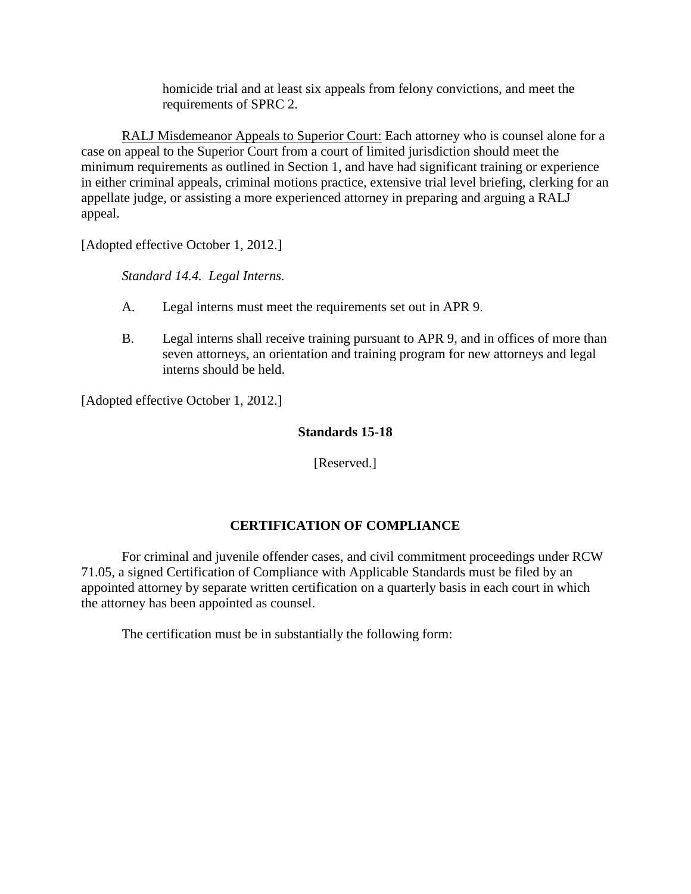homicide trial and at least six appeals from felony convictions, and meet the requirements of SPRC 2.

RALJ Misdemeanor Appeals to Superior Court: Each attorney who is counsel alone for a case on appeal to the Superior Court from a court of limited jurisdiction should meet the minimum requirements as outlined in Section 1, and have had significant training or experience in either criminal appeals, criminal motions practice, extensive trial level briefing, clerking for an appellate judge, or assisting a more experienced attorney in preparing and arguing a RALJ appeal.

[Adopted effective October 1, 2012.]

*Standard 14.4. Legal Interns.*

- A. Legal interns must meet the requirements set out in APR 9.
- B. Legal interns shall receive training pursuant to APR 9, and in offices of more than seven attorneys, an orientation and training program for new attorneys and legal interns should be held.

[Adopted effective October 1, 2012.]

# **Standards 15-18**

[Reserved.]

# **CERTIFICATION OF COMPLIANCE**

For criminal and juvenile offender cases, and civil commitment proceedings under RCW 71.05, a signed Certification of Compliance with Applicable Standards must be filed by an appointed attorney by separate written certification on a quarterly basis in each court in which the attorney has been appointed as counsel.

The certification must be in substantially the following form: